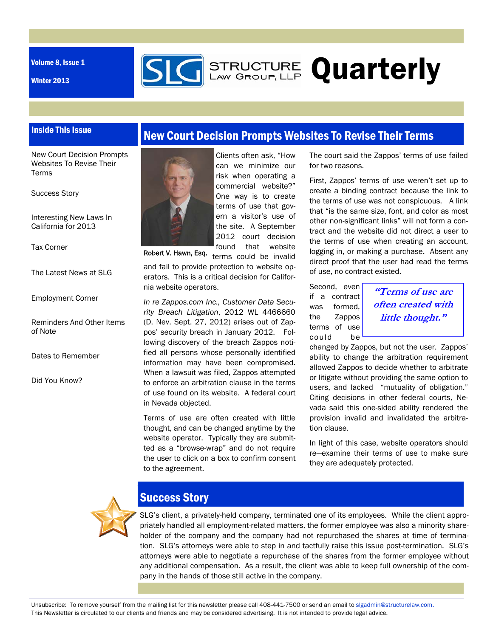Volume 8, Issue 1

Winter 2013



## Inside This Issue

New Court Decision Prompts Websites To Revise Their Terms

Success Story

Interesting New Laws In California for 2013

Tax Corner

The Latest News at SLG

#### Employment Corner

Reminders And Other Items of Note

Dates to Remember

Did You Know?





Robert V. Hawn, Esq.

can we minimize our risk when operating a commercial website?" One way is to create terms of use that govern a visitor's use of the site. A September 2012 court decision found that website

terms could be invalid and fail to provide protection to website operators. This is a critical decision for California website operators.

*In re Zappos.com Inc., Customer Data Security Breach Litigation*, 2012 WL 4466660 (D. Nev. Sept. 27, 2012) arises out of Zappos' security breach in January 2012. Following discovery of the breach Zappos notified all persons whose personally identified information may have been compromised. When a lawsuit was filed, Zappos attempted to enforce an arbitration clause in the terms of use found on its website. A federal court in Nevada objected.

Terms of use are often created with little thought, and can be changed anytime by the website operator. Typically they are submitted as a "browse-wrap" and do not require the user to click on a box to confirm consent to the agreement.

The court said the Zappos' terms of use failed for two reasons.

First, Zappos' terms of use weren't set up to create a binding contract because the link to the terms of use was not conspicuous. A link that "is the same size, font, and color as most other non-significant links" will not form a contract and the website did not direct a user to the terms of use when creating an account, logging in, or making a purchase. Absent any direct proof that the user had read the terms of use, no contract existed.

Second, even if a contract was formed, the Zappos terms of use could be

**"Terms of use are often created with little thought."** 

changed by Zappos, but not the user. Zappos' ability to change the arbitration requirement allowed Zappos to decide whether to arbitrate or litigate without providing the same option to users, and lacked "mutuality of obligation." Citing decisions in other federal courts, Nevada said this one-sided ability rendered the provision invalid and invalidated the arbitration clause.

In light of this case, website operators should re—examine their terms of use to make sure they are adequately protected.



# Success Story

SLG's client, a privately-held company, terminated one of its employees. While the client appropriately handled all employment-related matters, the former employee was also a minority shareholder of the company and the company had not repurchased the shares at time of termination. SLG's attorneys were able to step in and tactfully raise this issue post-termination. SLG's attorneys were able to negotiate a repurchase of the shares from the former employee without any additional compensation. As a result, the client was able to keep full ownership of the company in the hands of those still active in the company.

Unsubscribe: To remove yourself from the mailing list for this newsletter please call 408-441-7500 or send an email to slgadmin@structurelaw.com. This Newsletter is circulated to our clients and friends and may be considered advertising. It is not intended to provide legal advice.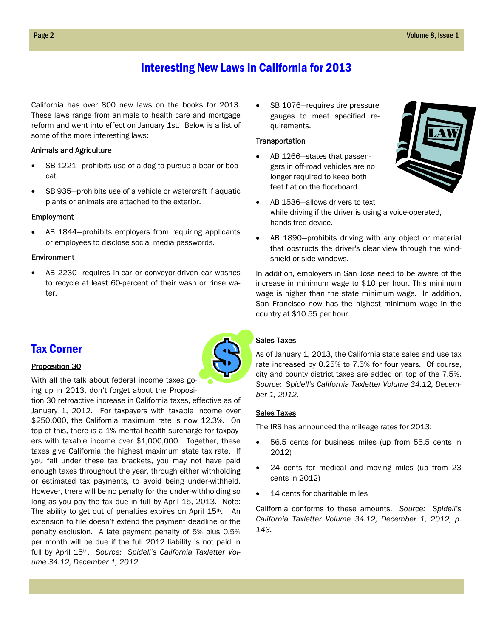## Interesting New Laws In California for 2013

California has over 800 new laws on the books for 2013. These laws range from animals to health care and mortgage reform and went into effect on January 1st. Below is a list of some of the more interesting laws:

### Animals and Agriculture

- SB 1221—prohibits use of a dog to pursue a bear or bobcat.
- SB 935—prohibits use of a vehicle or watercraft if aquatic plants or animals are attached to the exterior.

#### Employment

 AB 1844—prohibits employers from requiring applicants or employees to disclose social media passwords.

### Environment

 AB 2230—requires in-car or conveyor-driven car washes to recycle at least 60-percent of their wash or rinse water.

 SB 1076—requires tire pressure gauges to meet specified requirements.

#### **Transportation**

 AB 1266—states that passengers in off-road vehicles are no longer required to keep both feet flat on the floorboard.



- AB 1536—allows drivers to text while driving if the driver is using a voice-operated, hands-free device.
- AB 1890—prohibits driving with any object or material that obstructs the driver's clear view through the windshield or side windows.

In addition, employers in San Jose need to be aware of the increase in minimum wage to \$10 per hour. This minimum wage is higher than the state minimum wage. In addition, San Francisco now has the highest minimum wage in the country at \$10.55 per hour.

## Tax Corner

## Proposition 30



With all the talk about federal income taxes going up in 2013, don't forget about the Proposi-

tion 30 retroactive increase in California taxes, effective as of January 1, 2012. For taxpayers with taxable income over \$250,000, the California maximum rate is now 12.3%. On top of this, there is a 1% mental health surcharge for taxpayers with taxable income over \$1,000,000. Together, these taxes give California the highest maximum state tax rate. If you fall under these tax brackets, you may not have paid enough taxes throughout the year, through either withholding or estimated tax payments, to avoid being under-withheld. However, there will be no penalty for the under-withholding so long as you pay the tax due in full by April 15, 2013. Note: The ability to get out of penalties expires on April 15<sup>th</sup>. An extension to file doesn't extend the payment deadline or the penalty exclusion. A late payment penalty of 5% plus 0.5% per month will be due if the full 2012 liability is not paid in full by April 15th. *Source: Spidell's California Taxletter Volume 34.12, December 1, 2012.*

## Sales Taxes

As of January 1, 2013, the California state sales and use tax rate increased by 0.25% to 7.5% for four years. Of course, city and county district taxes are added on top of the 7.5%. *Source: Spidell's California Taxletter Volume 34.12, December 1, 2012.* 

#### Sales Taxes

The IRS has announced the mileage rates for 2013:

- 56.5 cents for business miles (up from 55.5 cents in 2012)
- 24 cents for medical and moving miles (up from 23 cents in 2012)
- 14 cents for charitable miles

California conforms to these amounts. *Source: Spidell's California Taxletter Volume 34.12, December 1, 2012, p. 143.*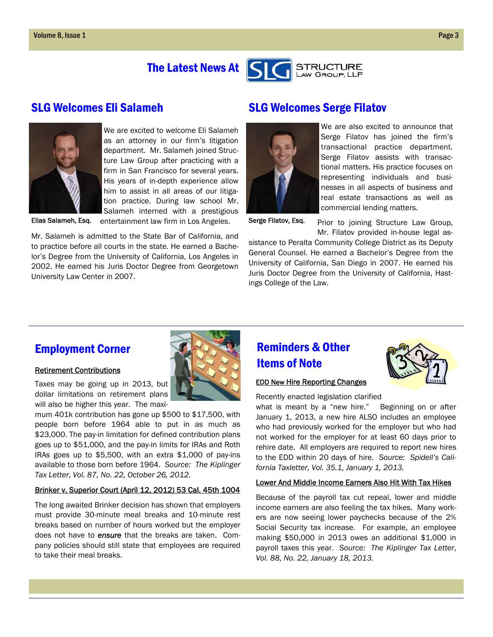# The Latest News At





We are excited to welcome Eli Salameh as an attorney in our firm's litigation department. Mr. Salameh joined Structure Law Group after practicing with a firm in San Francisco for several years. His years of in-depth experience allow him to assist in all areas of our litigation practice. During law school Mr. Salameh interned with a prestigious

Elias Salameh, Esq. entertainment law firm in Los Angeles. Serge Filatov, Esq.

Mr. Salameh is admitted to the State Bar of California, and to practice before all courts in the state. He earned a Bachelor's Degree from the University of California, Los Angeles in 2002. He earned his Juris Doctor Degree from Georgetown University Law Center in 2007.

# SLG Welcomes Eli Salameh SLG Welcomes Serge Filatov



We are also excited to announce that Serge Filatov has joined the firm's transactional practice department. Serge Filatov assists with transactional matters. His practice focuses on representing individuals and businesses in all aspects of business and real estate transactions as well as commercial lending matters.

Prior to joining Structure Law Group, Mr. Filatov provided in-house legal as-

sistance to Peralta Community College District as its Deputy General Counsel. He earned a Bachelor's Degree from the University of California, San Diego in 2007. He earned his Juris Doctor Degree from the University of California, Hastings College of the Law.

## Employment Corner

## Retirement Contributions

Taxes may be going up in 2013, but dollar limitations on retirement plans will also be higher this year. The maxi-

mum 401k contribution has gone up \$500 to \$17,500, with people born before 1964 able to put in as much as \$23,000. The pay-in limitation for defined contribution plans goes up to \$51,000, and the pay-in limits for IRAs and Roth IRAs goes up to \$5,500, with an extra \$1,000 of pay-ins available to those born before 1964. *Source: The Kiplinger Tax Letter*, *Vol. 87, No. 22, October 26, 2012.*

## Brinker v. Superior Court (April 12, 2012) 53 Cal. 45th 1004

The long awaited Brinker decision has shown that employers must provide 30-minute meal breaks and 10-minute rest breaks based on number of hours worked but the employer does not have to *ensure* that the breaks are taken. Company policies should still state that employees are required to take their meal breaks.

# Reminders & Other Items of Note



## EDD New Hire Reporting Changes

Recently enacted legislation clarified

what is meant by a "new hire." Beginning on or after January 1, 2013, a new hire ALSO includes an employee who had previously worked for the employer but who had not worked for the employer for at least 60 days prior to rehire date. All employers are required to report new hires to the EDD within 20 days of hire. *Source: Spidell's California Taxletter, Vol. 35.1, January 1, 2013.*

## Lower And Middle Income Earners Also Hit With Tax Hikes

Because of the payroll tax cut repeal, lower and middle income earners are also feeling the tax hikes. Many workers are now seeing lower paychecks because of the 2% Social Security tax increase. For example, an employee making \$50,000 in 2013 owes an additional \$1,000 in payroll taxes this year. *Source: The Kiplinger Tax Letter*, *Vol. 88, No. 22, January 18, 2013.*